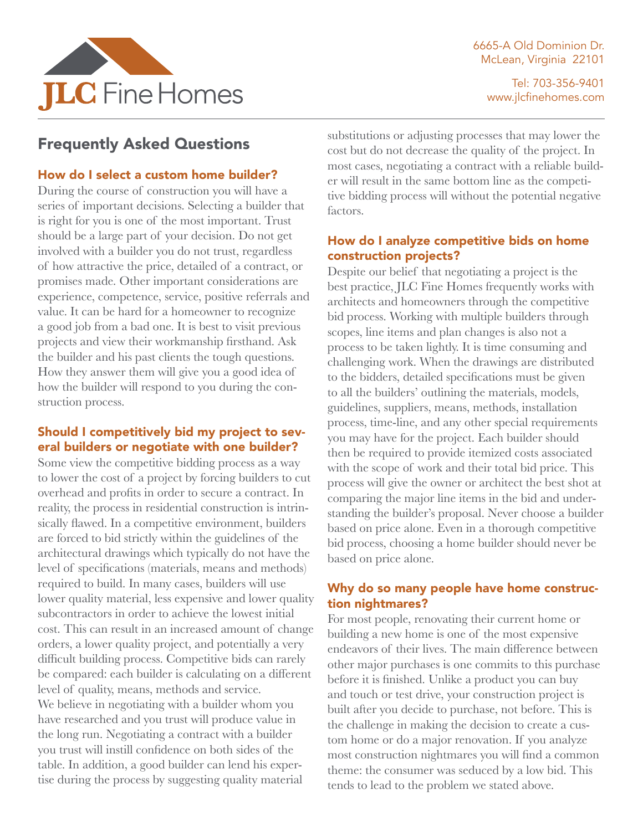



Tel: 703-356-9401 www.jlcfinehomes.com

# Frequently Asked Questions

## How do I select a custom home builder?

During the course of construction you will have a series of important decisions. Selecting a builder that is right for you is one of the most important. Trust should be a large part of your decision. Do not get involved with a builder you do not trust, regardless of how attractive the price, detailed of a contract, or promises made. Other important considerations are experience, competence, service, positive referrals and value. It can be hard for a homeowner to recognize a good job from a bad one. It is best to visit previous projects and view their workmanship firsthand. Ask the builder and his past clients the tough questions. How they answer them will give you a good idea of how the builder will respond to you during the construction process.

# Should I competitively bid my project to several builders or negotiate with one builder?

Some view the competitive bidding process as a way to lower the cost of a project by forcing builders to cut overhead and profits in order to secure a contract. In reality, the process in residential construction is intrinsically flawed. In a competitive environment, builders are forced to bid strictly within the guidelines of the architectural drawings which typically do not have the level of specifications (materials, means and methods) required to build. In many cases, builders will use lower quality material, less expensive and lower quality subcontractors in order to achieve the lowest initial cost. This can result in an increased amount of change orders, a lower quality project, and potentially a very difficult building process. Competitive bids can rarely be compared: each builder is calculating on a different level of quality, means, methods and service. We believe in negotiating with a builder whom you have researched and you trust will produce value in the long run. Negotiating a contract with a builder you trust will instill confidence on both sides of the table. In addition, a good builder can lend his expertise during the process by suggesting quality material

substitutions or adjusting processes that may lower the cost but do not decrease the quality of the project. In most cases, negotiating a contract with a reliable builder will result in the same bottom line as the competitive bidding process will without the potential negative factors.

#### How do I analyze competitive bids on home construction projects?

Despite our belief that negotiating a project is the best practice, JLC Fine Homes frequently works with architects and homeowners through the competitive bid process. Working with multiple builders through scopes, line items and plan changes is also not a process to be taken lightly. It is time consuming and challenging work. When the drawings are distributed to the bidders, detailed specifications must be given to all the builders' outlining the materials, models, guidelines, suppliers, means, methods, installation process, time-line, and any other special requirements you may have for the project. Each builder should then be required to provide itemized costs associated with the scope of work and their total bid price. This process will give the owner or architect the best shot at comparing the major line items in the bid and understanding the builder's proposal. Never choose a builder based on price alone. Even in a thorough competitive bid process, choosing a home builder should never be based on price alone.

## Why do so many people have home construction nightmares?

For most people, renovating their current home or building a new home is one of the most expensive endeavors of their lives. The main difference between other major purchases is one commits to this purchase before it is finished. Unlike a product you can buy and touch or test drive, your construction project is built after you decide to purchase, not before. This is the challenge in making the decision to create a custom home or do a major renovation. If you analyze most construction nightmares you will find a common theme: the consumer was seduced by a low bid. This tends to lead to the problem we stated above.